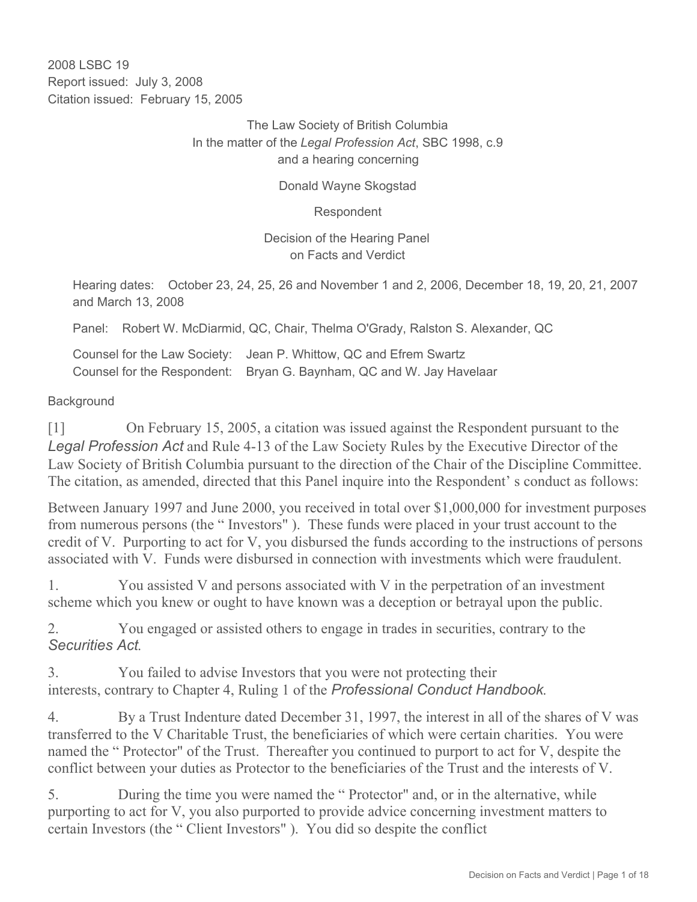2008 LSBC 19 Report issued: July 3, 2008 Citation issued: February 15, 2005

### The Law Society of British Columbia In the matter of the *Legal Profession Act*, SBC 1998, c.9 and a hearing concerning

#### Donald Wayne Skogstad

Respondent

Decision of the Hearing Panel on Facts and Verdict

Hearing dates: October 23, 24, 25, 26 and November 1 and 2, 2006, December 18, 19, 20, 21, 2007 and March 13, 2008

Panel: Robert W. McDiarmid, QC, Chair, Thelma O'Grady, Ralston S. Alexander, QC

Counsel for the Law Society: Jean P. Whittow, QC and Efrem Swartz Counsel for the Respondent: Bryan G. Baynham, QC and W. Jay Havelaar

### **Background**

[1] On February 15, 2005, a citation was issued against the Respondent pursuant to the *Legal Profession Act* and Rule 4-13 of the Law Society Rules by the Executive Director of the Law Society of British Columbia pursuant to the direction of the Chair of the Discipline Committee. The citation, as amended, directed that this Panel inquire into the Respondent' s conduct as follows:

Between January 1997 and June 2000, you received in total over \$1,000,000 for investment purposes from numerous persons (the " Investors" ). These funds were placed in your trust account to the credit of V. Purporting to act for V, you disbursed the funds according to the instructions of persons associated with V. Funds were disbursed in connection with investments which were fraudulent.

1. You assisted V and persons associated with V in the perpetration of an investment scheme which you knew or ought to have known was a deception or betrayal upon the public.

2. You engaged or assisted others to engage in trades in securities, contrary to the *Securities Act*.

3. You failed to advise Investors that you were not protecting their interests, contrary to Chapter 4, Ruling 1 of the *Professional Conduct Handbook*.

4. By a Trust Indenture dated December 31, 1997, the interest in all of the shares of V was transferred to the V Charitable Trust, the beneficiaries of which were certain charities. You were named the " Protector" of the Trust. Thereafter you continued to purport to act for V, despite the conflict between your duties as Protector to the beneficiaries of the Trust and the interests of V.

5. During the time you were named the " Protector" and, or in the alternative, while purporting to act for V, you also purported to provide advice concerning investment matters to certain Investors (the " Client Investors" ). You did so despite the conflict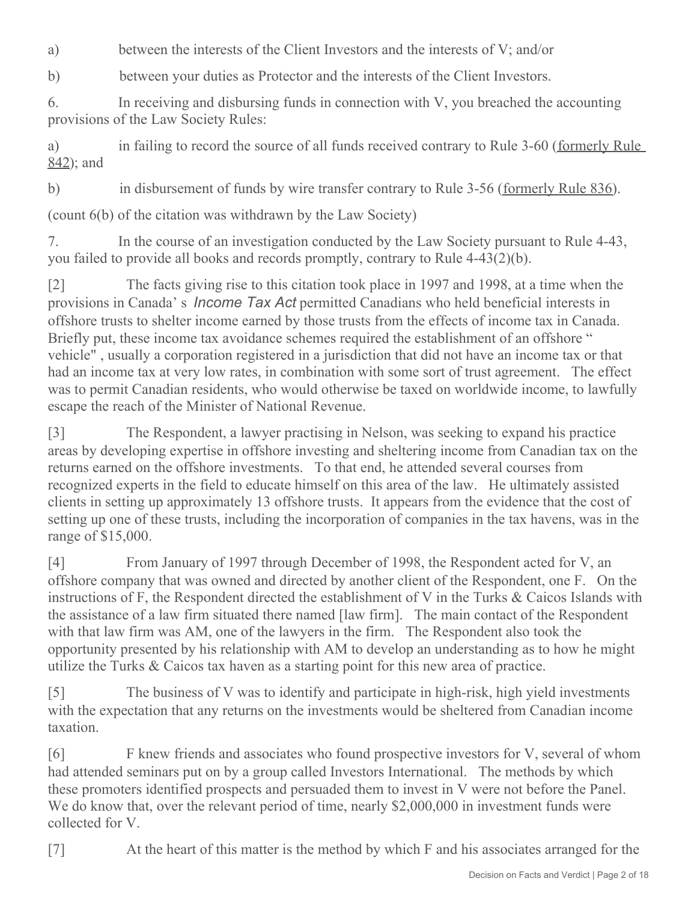a) between the interests of the Client Investors and the interests of V; and/or

b) between your duties as Protector and the interests of the Client Investors.

6. In receiving and disbursing funds in connection with V, you breached the accounting provisions of the Law Society Rules:

a) in failing to record the source of all funds received contrary to Rule 3-60 (formerly Rule 842); and

b) in disbursement of funds by wire transfer contrary to Rule 3-56 (formerly Rule 836).

(count 6(b) of the citation was withdrawn by the Law Society)

7. In the course of an investigation conducted by the Law Society pursuant to Rule 4-43, you failed to provide all books and records promptly, contrary to Rule 4-43(2)(b).

[2] The facts giving rise to this citation took place in 1997 and 1998, at a time when the provisions in Canada' s *Income Tax Act* permitted Canadians who held beneficial interests in offshore trusts to shelter income earned by those trusts from the effects of income tax in Canada. Briefly put, these income tax avoidance schemes required the establishment of an offshore " vehicle" , usually a corporation registered in a jurisdiction that did not have an income tax or that had an income tax at very low rates, in combination with some sort of trust agreement. The effect was to permit Canadian residents, who would otherwise be taxed on worldwide income, to lawfully escape the reach of the Minister of National Revenue.

[3] The Respondent, a lawyer practising in Nelson, was seeking to expand his practice areas by developing expertise in offshore investing and sheltering income from Canadian tax on the returns earned on the offshore investments. To that end, he attended several courses from recognized experts in the field to educate himself on this area of the law. He ultimately assisted clients in setting up approximately 13 offshore trusts. It appears from the evidence that the cost of setting up one of these trusts, including the incorporation of companies in the tax havens, was in the range of \$15,000.

[4] From January of 1997 through December of 1998, the Respondent acted for V, an offshore company that was owned and directed by another client of the Respondent, one F. On the instructions of F, the Respondent directed the establishment of V in the Turks & Caicos Islands with the assistance of a law firm situated there named [law firm]. The main contact of the Respondent with that law firm was AM, one of the lawyers in the firm. The Respondent also took the opportunity presented by his relationship with AM to develop an understanding as to how he might utilize the Turks & Caicos tax haven as a starting point for this new area of practice.

[5] The business of V was to identify and participate in high-risk, high yield investments with the expectation that any returns on the investments would be sheltered from Canadian income taxation.

[6] F knew friends and associates who found prospective investors for V, several of whom had attended seminars put on by a group called Investors International. The methods by which these promoters identified prospects and persuaded them to invest in V were not before the Panel. We do know that, over the relevant period of time, nearly \$2,000,000 in investment funds were collected for V.

[7] At the heart of this matter is the method by which F and his associates arranged for the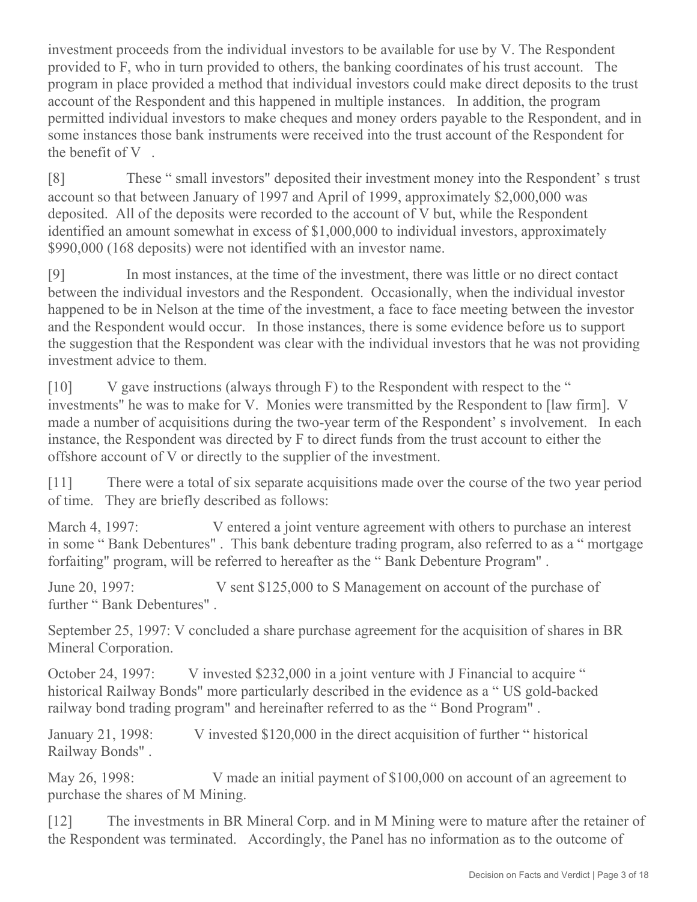investment proceeds from the individual investors to be available for use by V. The Respondent provided to F, who in turn provided to others, the banking coordinates of his trust account. The program in place provided a method that individual investors could make direct deposits to the trust account of the Respondent and this happened in multiple instances. In addition, the program permitted individual investors to make cheques and money orders payable to the Respondent, and in some instances those bank instruments were received into the trust account of the Respondent for the benefit of V .

[8] These " small investors" deposited their investment money into the Respondent' s trust account so that between January of 1997 and April of 1999, approximately \$2,000,000 was deposited. All of the deposits were recorded to the account of V but, while the Respondent identified an amount somewhat in excess of \$1,000,000 to individual investors, approximately \$990,000 (168 deposits) were not identified with an investor name.

[9] In most instances, at the time of the investment, there was little or no direct contact between the individual investors and the Respondent. Occasionally, when the individual investor happened to be in Nelson at the time of the investment, a face to face meeting between the investor and the Respondent would occur. In those instances, there is some evidence before us to support the suggestion that the Respondent was clear with the individual investors that he was not providing investment advice to them.

[10] V gave instructions (always through F) to the Respondent with respect to the " investments" he was to make for V. Monies were transmitted by the Respondent to [law firm]. V made a number of acquisitions during the two-year term of the Respondent' s involvement. In each instance, the Respondent was directed by F to direct funds from the trust account to either the offshore account of V or directly to the supplier of the investment.

[11] There were a total of six separate acquisitions made over the course of the two year period of time. They are briefly described as follows:

March 4, 1997: V entered a joint venture agreement with others to purchase an interest in some " Bank Debentures" . This bank debenture trading program, also referred to as a " mortgage forfaiting" program, will be referred to hereafter as the " Bank Debenture Program" .

June 20, 1997: V sent \$125,000 to S Management on account of the purchase of further " Bank Debentures"

September 25, 1997: V concluded a share purchase agreement for the acquisition of shares in BR Mineral Corporation.

October 24, 1997: V invested \$232,000 in a joint venture with J Financial to acquire " historical Railway Bonds" more particularly described in the evidence as a " US gold-backed railway bond trading program" and hereinafter referred to as the " Bond Program" .

January 21, 1998: V invested \$120,000 in the direct acquisition of further " historical Railway Bonds" .

May 26, 1998: V made an initial payment of \$100,000 on account of an agreement to purchase the shares of M Mining.

[12] The investments in BR Mineral Corp. and in M Mining were to mature after the retainer of the Respondent was terminated. Accordingly, the Panel has no information as to the outcome of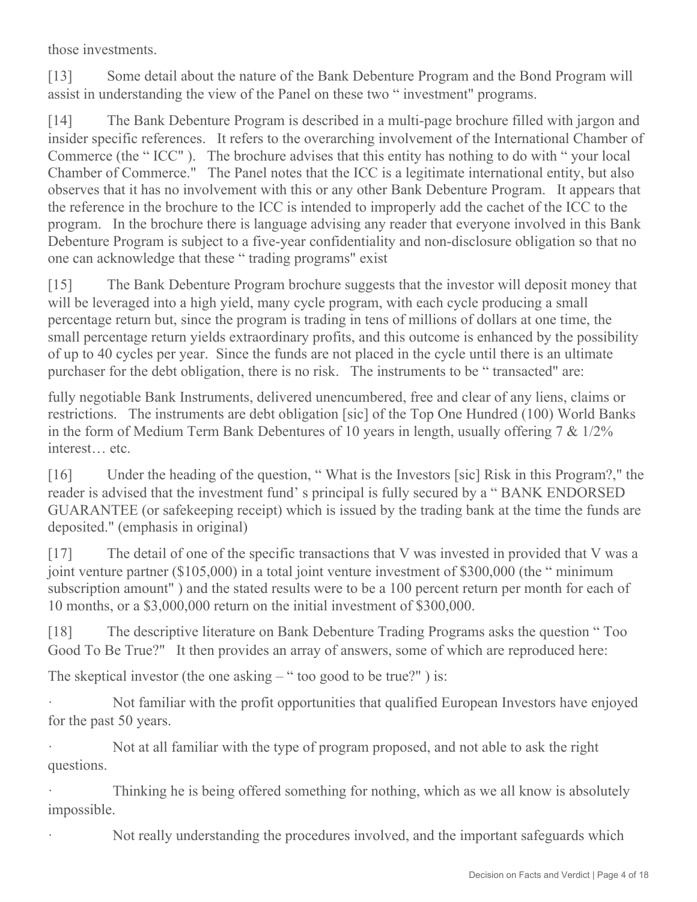those investments.

[13] Some detail about the nature of the Bank Debenture Program and the Bond Program will assist in understanding the view of the Panel on these two " investment" programs.

[14] The Bank Debenture Program is described in a multi-page brochure filled with jargon and insider specific references. It refers to the overarching involvement of the International Chamber of Commerce (the "ICC"). The brochure advises that this entity has nothing to do with " your local Chamber of Commerce." The Panel notes that the ICC is a legitimate international entity, but also observes that it has no involvement with this or any other Bank Debenture Program. It appears that the reference in the brochure to the ICC is intended to improperly add the cachet of the ICC to the program. In the brochure there is language advising any reader that everyone involved in this Bank Debenture Program is subject to a five-year confidentiality and non-disclosure obligation so that no one can acknowledge that these " trading programs" exist

[15] The Bank Debenture Program brochure suggests that the investor will deposit money that will be leveraged into a high yield, many cycle program, with each cycle producing a small percentage return but, since the program is trading in tens of millions of dollars at one time, the small percentage return yields extraordinary profits, and this outcome is enhanced by the possibility of up to 40 cycles per year. Since the funds are not placed in the cycle until there is an ultimate purchaser for the debt obligation, there is no risk. The instruments to be " transacted" are:

fully negotiable Bank Instruments, delivered unencumbered, free and clear of any liens, claims or restrictions. The instruments are debt obligation [sic] of the Top One Hundred (100) World Banks in the form of Medium Term Bank Debentures of 10 years in length, usually offering 7 & 1/2% interest… etc.

[16] Under the heading of the question, " What is the Investors [sic] Risk in this Program?," the reader is advised that the investment fund' s principal is fully secured by a " BANK ENDORSED GUARANTEE (or safekeeping receipt) which is issued by the trading bank at the time the funds are deposited." (emphasis in original)

[17] The detail of one of the specific transactions that V was invested in provided that V was a joint venture partner (\$105,000) in a total joint venture investment of \$300,000 (the " minimum subscription amount" ) and the stated results were to be a 100 percent return per month for each of 10 months, or a \$3,000,000 return on the initial investment of \$300,000.

[18] The descriptive literature on Bank Debenture Trading Programs asks the question " Too Good To Be True?" It then provides an array of answers, some of which are reproduced here:

The skeptical investor (the one asking  $-$  " too good to be true?") is:

· Not familiar with the profit opportunities that qualified European Investors have enjoyed for the past 50 years.

Not at all familiar with the type of program proposed, and not able to ask the right questions.

Thinking he is being offered something for nothing, which as we all know is absolutely impossible.

Not really understanding the procedures involved, and the important safeguards which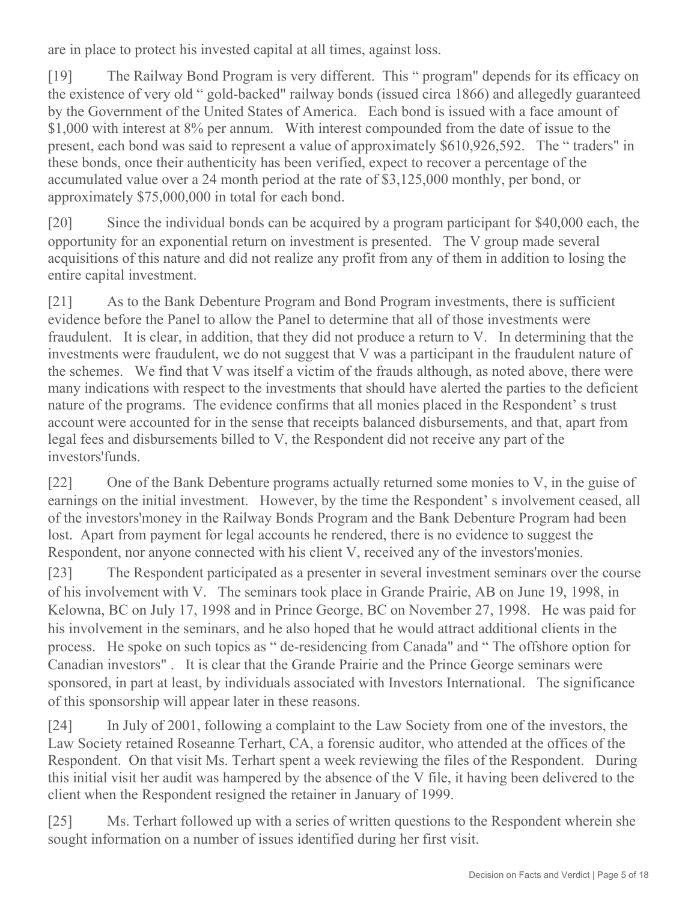are in place to protect his invested capital at all times, against loss.

[19] The Railway Bond Program is very different. This " program" depends for its efficacy on the existence of very old " gold-backed" railway bonds (issued circa 1866) and allegedly guaranteed by the Government of the United States of America. Each bond is issued with a face amount of \$1,000 with interest at 8% per annum. With interest compounded from the date of issue to the present, each bond was said to represent a value of approximately \$610,926,592. The " traders" in these bonds, once their authenticity has been verified, expect to recover a percentage of the accumulated value over a 24 month period at the rate of \$3,125,000 monthly, per bond, or approximately \$75,000,000 in total for each bond.

[20] Since the individual bonds can be acquired by a program participant for \$40,000 each, the opportunity for an exponential return on investment is presented. The V group made several acquisitions of this nature and did not realize any profit from any of them in addition to losing the entire capital investment.

[21] As to the Bank Debenture Program and Bond Program investments, there is sufficient evidence before the Panel to allow the Panel to determine that all of those investments were fraudulent. It is clear, in addition, that they did not produce a return to V. In determining that the investments were fraudulent, we do not suggest that V was a participant in the fraudulent nature of the schemes. We find that V was itself a victim of the frauds although, as noted above, there were many indications with respect to the investments that should have alerted the parties to the deficient nature of the programs. The evidence confirms that all monies placed in the Respondent' s trust account were accounted for in the sense that receipts balanced disbursements, and that, apart from legal fees and disbursements billed to V, the Respondent did not receive any part of the investors'funds.

[22] One of the Bank Debenture programs actually returned some monies to V, in the guise of earnings on the initial investment. However, by the time the Respondent's involvement ceased, all of the investors'money in the Railway Bonds Program and the Bank Debenture Program had been lost. Apart from payment for legal accounts he rendered, there is no evidence to suggest the Respondent, nor anyone connected with his client V, received any of the investors'monies.

[23] The Respondent participated as a presenter in several investment seminars over the course of his involvement with V. The seminars took place in Grande Prairie, AB on June 19, 1998, in Kelowna, BC on July 17, 1998 and in Prince George, BC on November 27, 1998. He was paid for his involvement in the seminars, and he also hoped that he would attract additional clients in the process. He spoke on such topics as " de-residencing from Canada" and " The offshore option for Canadian investors" . It is clear that the Grande Prairie and the Prince George seminars were sponsored, in part at least, by individuals associated with Investors International. The significance of this sponsorship will appear later in these reasons.

[24] In July of 2001, following a complaint to the Law Society from one of the investors, the Law Society retained Roseanne Terhart, CA, a forensic auditor, who attended at the offices of the Respondent. On that visit Ms. Terhart spent a week reviewing the files of the Respondent. During this initial visit her audit was hampered by the absence of the V file, it having been delivered to the client when the Respondent resigned the retainer in January of 1999.

[25] Ms. Terhart followed up with a series of written questions to the Respondent wherein she sought information on a number of issues identified during her first visit.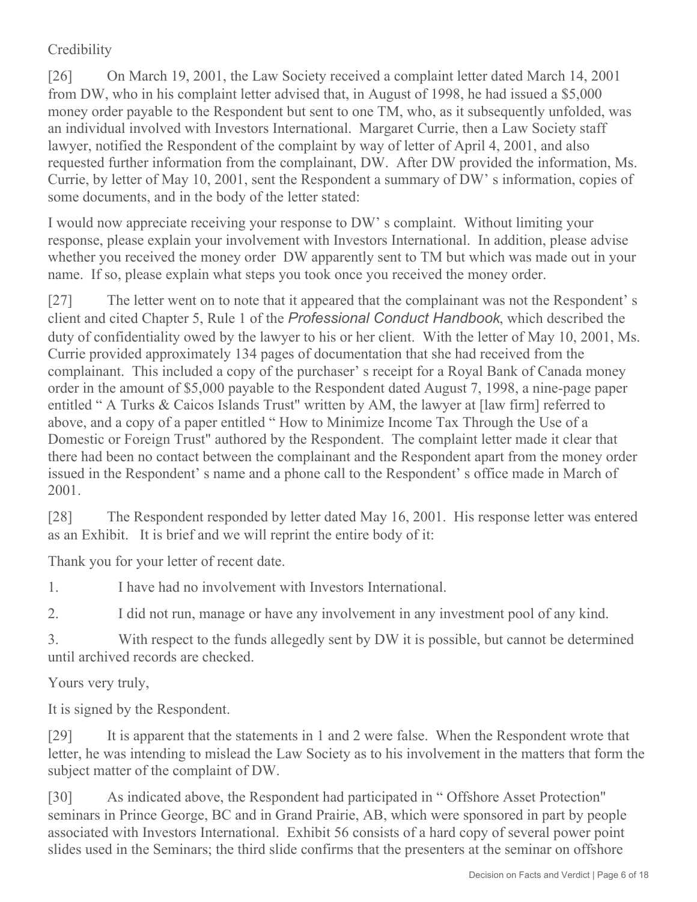# **Credibility**

[26] On March 19, 2001, the Law Society received a complaint letter dated March 14, 2001 from DW, who in his complaint letter advised that, in August of 1998, he had issued a \$5,000 money order payable to the Respondent but sent to one TM, who, as it subsequently unfolded, was an individual involved with Investors International. Margaret Currie, then a Law Society staff lawyer, notified the Respondent of the complaint by way of letter of April 4, 2001, and also requested further information from the complainant, DW. After DW provided the information, Ms. Currie, by letter of May 10, 2001, sent the Respondent a summary of DW' s information, copies of some documents, and in the body of the letter stated:

I would now appreciate receiving your response to DW' s complaint. Without limiting your response, please explain your involvement with Investors International. In addition, please advise whether you received the money order DW apparently sent to TM but which was made out in your name. If so, please explain what steps you took once you received the money order.

[27] The letter went on to note that it appeared that the complainant was not the Respondent's client and cited Chapter 5, Rule 1 of the *Professional Conduct Handbook*, which described the duty of confidentiality owed by the lawyer to his or her client. With the letter of May 10, 2001, Ms. Currie provided approximately 134 pages of documentation that she had received from the complainant. This included a copy of the purchaser' s receipt for a Royal Bank of Canada money order in the amount of \$5,000 payable to the Respondent dated August 7, 1998, a nine-page paper entitled " A Turks & Caicos Islands Trust" written by AM, the lawyer at [law firm] referred to above, and a copy of a paper entitled " How to Minimize Income Tax Through the Use of a Domestic or Foreign Trust" authored by the Respondent. The complaint letter made it clear that there had been no contact between the complainant and the Respondent apart from the money order issued in the Respondent' s name and a phone call to the Respondent' s office made in March of 2001.

[28] The Respondent responded by letter dated May 16, 2001. His response letter was entered as an Exhibit. It is brief and we will reprint the entire body of it:

Thank you for your letter of recent date.

1. I have had no involvement with Investors International.

2. I did not run, manage or have any involvement in any investment pool of any kind.

3. With respect to the funds allegedly sent by DW it is possible, but cannot be determined until archived records are checked.

Yours very truly,

It is signed by the Respondent.

[29] It is apparent that the statements in 1 and 2 were false. When the Respondent wrote that letter, he was intending to mislead the Law Society as to his involvement in the matters that form the subject matter of the complaint of DW.

[30] As indicated above, the Respondent had participated in "Offshore Asset Protection" seminars in Prince George, BC and in Grand Prairie, AB, which were sponsored in part by people associated with Investors International. Exhibit 56 consists of a hard copy of several power point slides used in the Seminars; the third slide confirms that the presenters at the seminar on offshore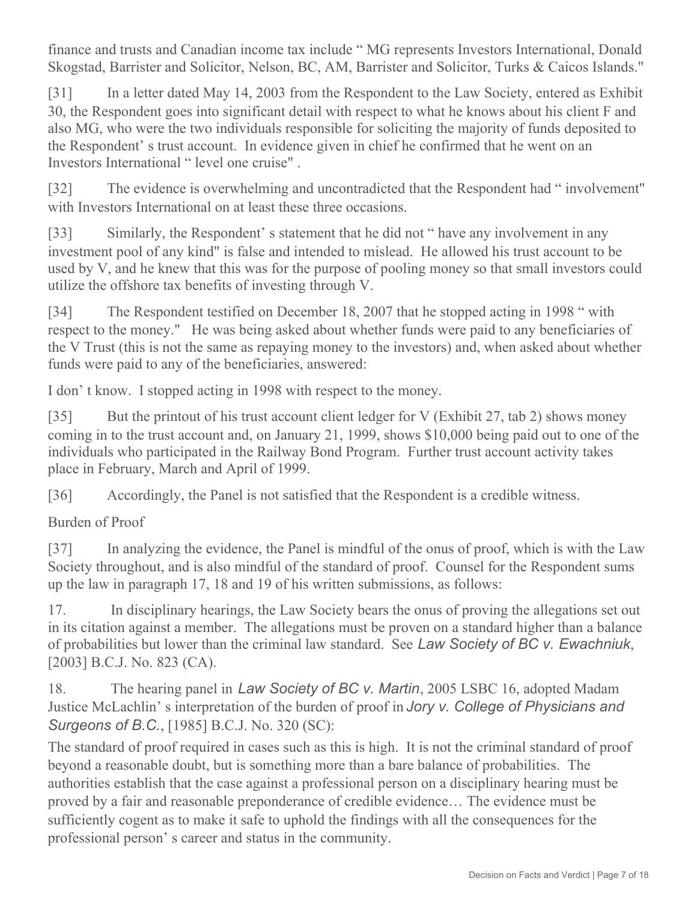finance and trusts and Canadian income tax include " MG represents Investors International, Donald Skogstad, Barrister and Solicitor, Nelson, BC, AM, Barrister and Solicitor, Turks & Caicos Islands."

[31] In a letter dated May 14, 2003 from the Respondent to the Law Society, entered as Exhibit 30, the Respondent goes into significant detail with respect to what he knows about his client F and also MG, who were the two individuals responsible for soliciting the majority of funds deposited to the Respondent' s trust account. In evidence given in chief he confirmed that he went on an Investors International " level one cruise" .

[32] The evidence is overwhelming and uncontradicted that the Respondent had "involvement" with Investors International on at least these three occasions.

[33] Similarly, the Respondent's statement that he did not " have any involvement in any investment pool of any kind" is false and intended to mislead. He allowed his trust account to be used by V, and he knew that this was for the purpose of pooling money so that small investors could utilize the offshore tax benefits of investing through V.

[34] The Respondent testified on December 18, 2007 that he stopped acting in 1998 " with respect to the money." He was being asked about whether funds were paid to any beneficiaries of the V Trust (this is not the same as repaying money to the investors) and, when asked about whether funds were paid to any of the beneficiaries, answered:

I don' t know. I stopped acting in 1998 with respect to the money.

[35] But the printout of his trust account client ledger for V (Exhibit 27, tab 2) shows money coming in to the trust account and, on January 21, 1999, shows \$10,000 being paid out to one of the individuals who participated in the Railway Bond Program. Further trust account activity takes place in February, March and April of 1999.

[36] Accordingly, the Panel is not satisfied that the Respondent is a credible witness.

Burden of Proof

[37] In analyzing the evidence, the Panel is mindful of the onus of proof, which is with the Law Society throughout, and is also mindful of the standard of proof. Counsel for the Respondent sums up the law in paragraph 17, 18 and 19 of his written submissions, as follows:

17. In disciplinary hearings, the Law Society bears the onus of proving the allegations set out in its citation against a member. The allegations must be proven on a standard higher than a balance of probabilities but lower than the criminal law standard. See *Law Society of BC v. Ewachniuk*, [2003] B.C.J. No. 823 (CA).

18. The hearing panel in *Law Society of BC v. Martin*, 2005 LSBC 16, adopted Madam Justice McLachlin' s interpretation of the burden of proof in *Jory v. College of Physicians and Surgeons of B.C.*, [1985] B.C.J. No. 320 (SC):

The standard of proof required in cases such as this is high. It is not the criminal standard of proof beyond a reasonable doubt, but is something more than a bare balance of probabilities. The authorities establish that the case against a professional person on a disciplinary hearing must be proved by a fair and reasonable preponderance of credible evidence… The evidence must be sufficiently cogent as to make it safe to uphold the findings with all the consequences for the professional person' s career and status in the community.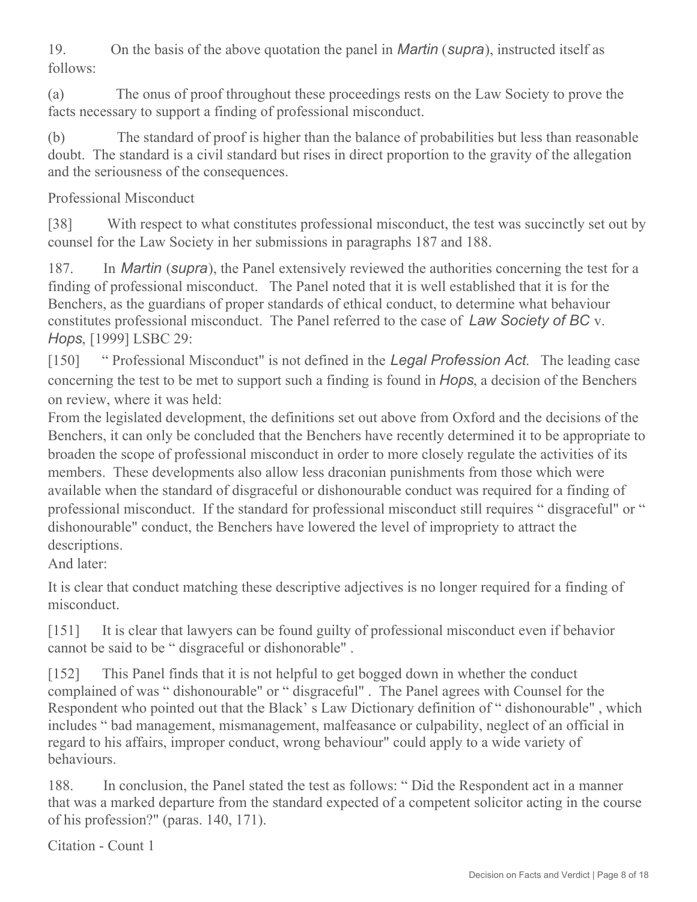19. On the basis of the above quotation the panel in *Martin* (*supra*), instructed itself as follows:

(a) The onus of proof throughout these proceedings rests on the Law Society to prove the facts necessary to support a finding of professional misconduct.

(b) The standard of proof is higher than the balance of probabilities but less than reasonable doubt. The standard is a civil standard but rises in direct proportion to the gravity of the allegation and the seriousness of the consequences.

Professional Misconduct

[38] With respect to what constitutes professional misconduct, the test was succinctly set out by counsel for the Law Society in her submissions in paragraphs 187 and 188.

187. In *Martin* (*supra*), the Panel extensively reviewed the authorities concerning the test for a finding of professional misconduct. The Panel noted that it is well established that it is for the Benchers, as the guardians of proper standards of ethical conduct, to determine what behaviour constitutes professional misconduct. The Panel referred to the case of *Law Society of BC* v. *Hops*, [1999] LSBC 29:

[150] " Professional Misconduct" is not defined in the *Legal Profession Act*. The leading case concerning the test to be met to support such a finding is found in *Hops*, a decision of the Benchers on review, where it was held:

From the legislated development, the definitions set out above from Oxford and the decisions of the Benchers, it can only be concluded that the Benchers have recently determined it to be appropriate to broaden the scope of professional misconduct in order to more closely regulate the activities of its members. These developments also allow less draconian punishments from those which were available when the standard of disgraceful or dishonourable conduct was required for a finding of professional misconduct. If the standard for professional misconduct still requires " disgraceful" or " dishonourable" conduct, the Benchers have lowered the level of impropriety to attract the descriptions.

And later:

It is clear that conduct matching these descriptive adjectives is no longer required for a finding of misconduct.

[151] It is clear that lawyers can be found guilty of professional misconduct even if behavior cannot be said to be " disgraceful or dishonorable" .

[152] This Panel finds that it is not helpful to get bogged down in whether the conduct complained of was " dishonourable" or " disgraceful" . The Panel agrees with Counsel for the Respondent who pointed out that the Black' s Law Dictionary definition of " dishonourable" , which includes " bad management, mismanagement, malfeasance or culpability, neglect of an official in regard to his affairs, improper conduct, wrong behaviour" could apply to a wide variety of behaviours.

188. In conclusion, the Panel stated the test as follows: " Did the Respondent act in a manner that was a marked departure from the standard expected of a competent solicitor acting in the course of his profession?" (paras. 140, 171).

Citation - Count 1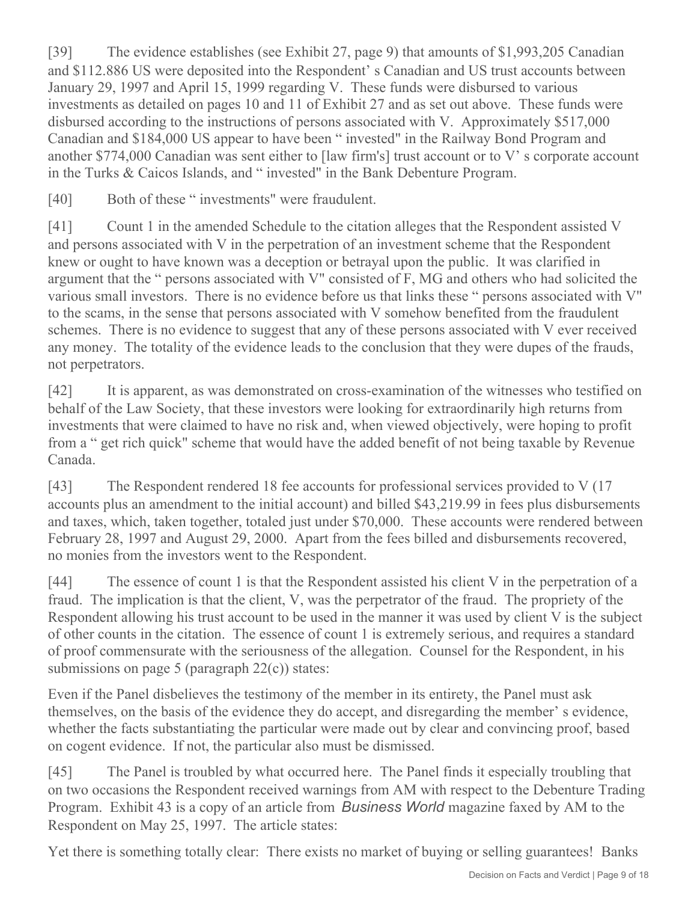[39] The evidence establishes (see Exhibit 27, page 9) that amounts of \$1,993,205 Canadian and \$112.886 US were deposited into the Respondent' s Canadian and US trust accounts between January 29, 1997 and April 15, 1999 regarding V. These funds were disbursed to various investments as detailed on pages 10 and 11 of Exhibit 27 and as set out above. These funds were disbursed according to the instructions of persons associated with V. Approximately \$517,000 Canadian and \$184,000 US appear to have been " invested" in the Railway Bond Program and another \$774,000 Canadian was sent either to [law firm's] trust account or to V' s corporate account in the Turks & Caicos Islands, and " invested" in the Bank Debenture Program.

[40] Both of these " investments" were fraudulent.

[41] Count 1 in the amended Schedule to the citation alleges that the Respondent assisted V and persons associated with V in the perpetration of an investment scheme that the Respondent knew or ought to have known was a deception or betrayal upon the public. It was clarified in argument that the " persons associated with V" consisted of F, MG and others who had solicited the various small investors. There is no evidence before us that links these " persons associated with V" to the scams, in the sense that persons associated with V somehow benefited from the fraudulent schemes. There is no evidence to suggest that any of these persons associated with V ever received any money. The totality of the evidence leads to the conclusion that they were dupes of the frauds, not perpetrators.

[42] It is apparent, as was demonstrated on cross-examination of the witnesses who testified on behalf of the Law Society, that these investors were looking for extraordinarily high returns from investments that were claimed to have no risk and, when viewed objectively, were hoping to profit from a " get rich quick" scheme that would have the added benefit of not being taxable by Revenue Canada.

[43] The Respondent rendered 18 fee accounts for professional services provided to V (17 accounts plus an amendment to the initial account) and billed \$43,219.99 in fees plus disbursements and taxes, which, taken together, totaled just under \$70,000. These accounts were rendered between February 28, 1997 and August 29, 2000. Apart from the fees billed and disbursements recovered, no monies from the investors went to the Respondent.

[44] The essence of count 1 is that the Respondent assisted his client V in the perpetration of a fraud. The implication is that the client, V, was the perpetrator of the fraud. The propriety of the Respondent allowing his trust account to be used in the manner it was used by client V is the subject of other counts in the citation. The essence of count 1 is extremely serious, and requires a standard of proof commensurate with the seriousness of the allegation. Counsel for the Respondent, in his submissions on page 5 (paragraph  $22(c)$ ) states:

Even if the Panel disbelieves the testimony of the member in its entirety, the Panel must ask themselves, on the basis of the evidence they do accept, and disregarding the member' s evidence, whether the facts substantiating the particular were made out by clear and convincing proof, based on cogent evidence. If not, the particular also must be dismissed.

[45] The Panel is troubled by what occurred here. The Panel finds it especially troubling that on two occasions the Respondent received warnings from AM with respect to the Debenture Trading Program. Exhibit 43 is a copy of an article from *Business World* magazine faxed by AM to the Respondent on May 25, 1997. The article states:

Yet there is something totally clear: There exists no market of buying or selling guarantees! Banks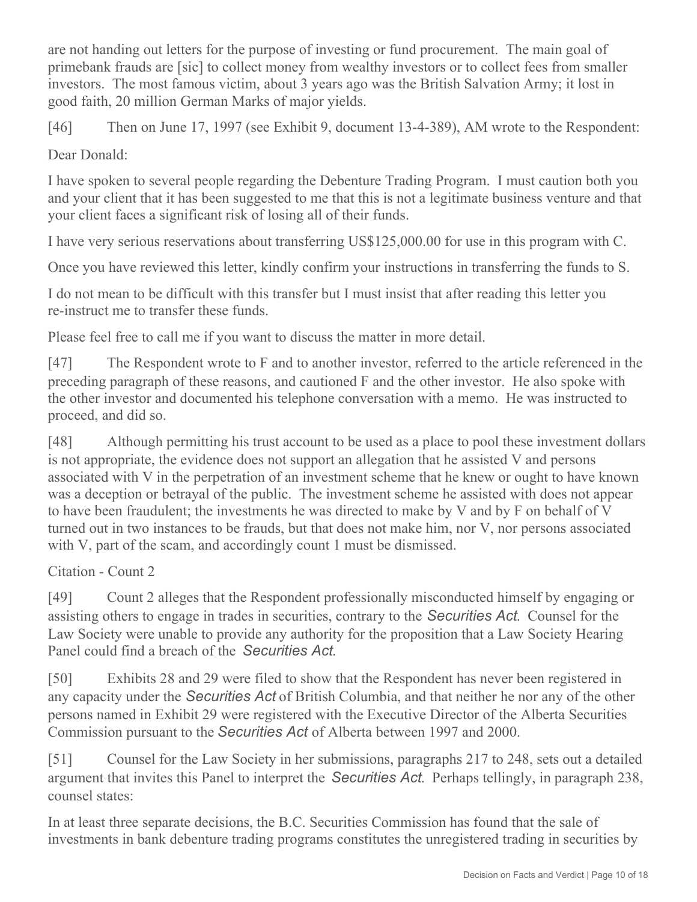are not handing out letters for the purpose of investing or fund procurement. The main goal of primebank frauds are [sic] to collect money from wealthy investors or to collect fees from smaller investors. The most famous victim, about 3 years ago was the British Salvation Army; it lost in good faith, 20 million German Marks of major yields.

[46] Then on June 17, 1997 (see Exhibit 9, document 13-4-389), AM wrote to the Respondent:

Dear Donald:

I have spoken to several people regarding the Debenture Trading Program. I must caution both you and your client that it has been suggested to me that this is not a legitimate business venture and that your client faces a significant risk of losing all of their funds.

I have very serious reservations about transferring US\$125,000.00 for use in this program with C.

Once you have reviewed this letter, kindly confirm your instructions in transferring the funds to S.

I do not mean to be difficult with this transfer but I must insist that after reading this letter you re-instruct me to transfer these funds.

Please feel free to call me if you want to discuss the matter in more detail.

[47] The Respondent wrote to F and to another investor, referred to the article referenced in the preceding paragraph of these reasons, and cautioned F and the other investor. He also spoke with the other investor and documented his telephone conversation with a memo. He was instructed to proceed, and did so.

[48] Although permitting his trust account to be used as a place to pool these investment dollars is not appropriate, the evidence does not support an allegation that he assisted V and persons associated with V in the perpetration of an investment scheme that he knew or ought to have known was a deception or betrayal of the public. The investment scheme he assisted with does not appear to have been fraudulent; the investments he was directed to make by V and by F on behalf of V turned out in two instances to be frauds, but that does not make him, nor V, nor persons associated with V, part of the scam, and accordingly count 1 must be dismissed.

Citation - Count 2

[49] Count 2 alleges that the Respondent professionally misconducted himself by engaging or assisting others to engage in trades in securities, contrary to the *Securities Act*. Counsel for the Law Society were unable to provide any authority for the proposition that a Law Society Hearing Panel could find a breach of the *Securities Act*.

[50] Exhibits 28 and 29 were filed to show that the Respondent has never been registered in any capacity under the *Securities Act* of British Columbia, and that neither he nor any of the other persons named in Exhibit 29 were registered with the Executive Director of the Alberta Securities Commission pursuant to the *Securities Act* of Alberta between 1997 and 2000.

[51] Counsel for the Law Society in her submissions, paragraphs 217 to 248, sets out a detailed argument that invites this Panel to interpret the *Securities Act*. Perhaps tellingly, in paragraph 238, counsel states:

In at least three separate decisions, the B.C. Securities Commission has found that the sale of investments in bank debenture trading programs constitutes the unregistered trading in securities by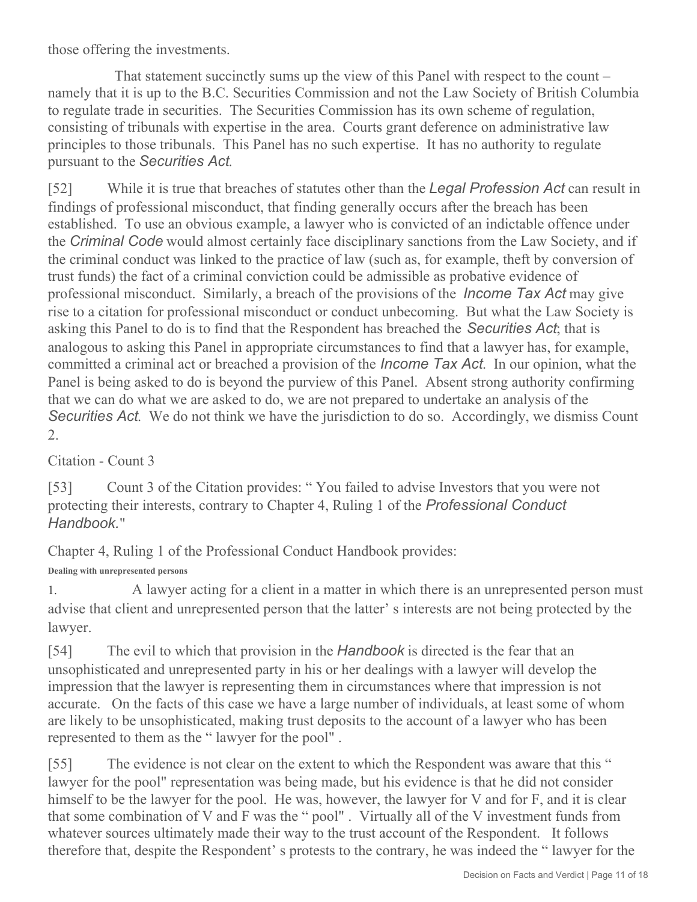those offering the investments.

 That statement succinctly sums up the view of this Panel with respect to the count – namely that it is up to the B.C. Securities Commission and not the Law Society of British Columbia to regulate trade in securities. The Securities Commission has its own scheme of regulation, consisting of tribunals with expertise in the area. Courts grant deference on administrative law principles to those tribunals. This Panel has no such expertise. It has no authority to regulate pursuant to the *Securities Act*.

[52] While it is true that breaches of statutes other than the *Legal Profession Act* can result in findings of professional misconduct, that finding generally occurs after the breach has been established. To use an obvious example, a lawyer who is convicted of an indictable offence under the *Criminal Code* would almost certainly face disciplinary sanctions from the Law Society, and if the criminal conduct was linked to the practice of law (such as, for example, theft by conversion of trust funds) the fact of a criminal conviction could be admissible as probative evidence of professional misconduct. Similarly, a breach of the provisions of the *Income Tax Act* may give rise to a citation for professional misconduct or conduct unbecoming. But what the Law Society is asking this Panel to do is to find that the Respondent has breached the *Securities Act*; that is analogous to asking this Panel in appropriate circumstances to find that a lawyer has, for example, committed a criminal act or breached a provision of the *Income Tax Act*. In our opinion, what the Panel is being asked to do is beyond the purview of this Panel. Absent strong authority confirming that we can do what we are asked to do, we are not prepared to undertake an analysis of the *Securities Act*. We do not think we have the jurisdiction to do so. Accordingly, we dismiss Count 2.

Citation - Count 3

[53] Count 3 of the Citation provides: "You failed to advise Investors that you were not protecting their interests, contrary to Chapter 4, Ruling 1 of the *Professional Conduct Handbook.*"

Chapter 4, Ruling 1 of the Professional Conduct Handbook provides:

**Dealing with unrepresented persons**

1. A lawyer acting for a client in a matter in which there is an unrepresented person must advise that client and unrepresented person that the latter' s interests are not being protected by the lawyer.

[54] The evil to which that provision in the *Handbook* is directed is the fear that an unsophisticated and unrepresented party in his or her dealings with a lawyer will develop the impression that the lawyer is representing them in circumstances where that impression is not accurate. On the facts of this case we have a large number of individuals, at least some of whom are likely to be unsophisticated, making trust deposits to the account of a lawyer who has been represented to them as the " lawyer for the pool" .

[55] The evidence is not clear on the extent to which the Respondent was aware that this " lawyer for the pool" representation was being made, but his evidence is that he did not consider himself to be the lawyer for the pool. He was, however, the lawyer for V and for F, and it is clear that some combination of V and F was the " pool" . Virtually all of the V investment funds from whatever sources ultimately made their way to the trust account of the Respondent. It follows therefore that, despite the Respondent' s protests to the contrary, he was indeed the " lawyer for the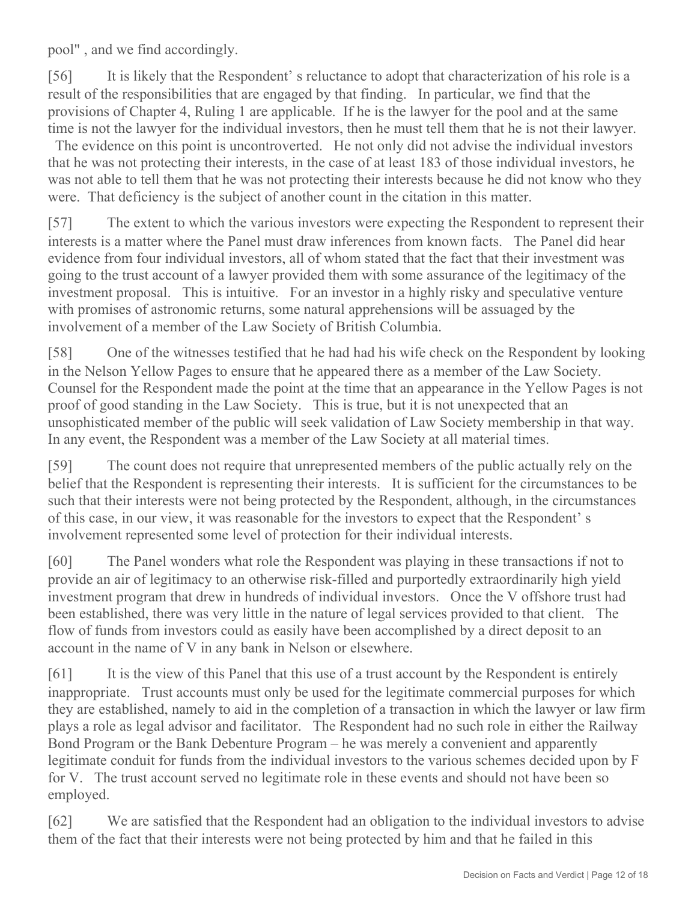pool" , and we find accordingly.

[56] It is likely that the Respondent' s reluctance to adopt that characterization of his role is a result of the responsibilities that are engaged by that finding. In particular, we find that the provisions of Chapter 4, Ruling 1 are applicable. If he is the lawyer for the pool and at the same time is not the lawyer for the individual investors, then he must tell them that he is not their lawyer.

 The evidence on this point is uncontroverted. He not only did not advise the individual investors that he was not protecting their interests, in the case of at least 183 of those individual investors, he was not able to tell them that he was not protecting their interests because he did not know who they were. That deficiency is the subject of another count in the citation in this matter.

[57] The extent to which the various investors were expecting the Respondent to represent their interests is a matter where the Panel must draw inferences from known facts. The Panel did hear evidence from four individual investors, all of whom stated that the fact that their investment was going to the trust account of a lawyer provided them with some assurance of the legitimacy of the investment proposal. This is intuitive. For an investor in a highly risky and speculative venture with promises of astronomic returns, some natural apprehensions will be assuaged by the involvement of a member of the Law Society of British Columbia.

[58] One of the witnesses testified that he had had his wife check on the Respondent by looking in the Nelson Yellow Pages to ensure that he appeared there as a member of the Law Society. Counsel for the Respondent made the point at the time that an appearance in the Yellow Pages is not proof of good standing in the Law Society. This is true, but it is not unexpected that an unsophisticated member of the public will seek validation of Law Society membership in that way. In any event, the Respondent was a member of the Law Society at all material times.

[59] The count does not require that unrepresented members of the public actually rely on the belief that the Respondent is representing their interests. It is sufficient for the circumstances to be such that their interests were not being protected by the Respondent, although, in the circumstances of this case, in our view, it was reasonable for the investors to expect that the Respondent' s involvement represented some level of protection for their individual interests.

[60] The Panel wonders what role the Respondent was playing in these transactions if not to provide an air of legitimacy to an otherwise risk-filled and purportedly extraordinarily high yield investment program that drew in hundreds of individual investors. Once the V offshore trust had been established, there was very little in the nature of legal services provided to that client. The flow of funds from investors could as easily have been accomplished by a direct deposit to an account in the name of V in any bank in Nelson or elsewhere.

[61] It is the view of this Panel that this use of a trust account by the Respondent is entirely inappropriate. Trust accounts must only be used for the legitimate commercial purposes for which they are established, namely to aid in the completion of a transaction in which the lawyer or law firm plays a role as legal advisor and facilitator. The Respondent had no such role in either the Railway Bond Program or the Bank Debenture Program – he was merely a convenient and apparently legitimate conduit for funds from the individual investors to the various schemes decided upon by F for V. The trust account served no legitimate role in these events and should not have been so employed.

[62] We are satisfied that the Respondent had an obligation to the individual investors to advise them of the fact that their interests were not being protected by him and that he failed in this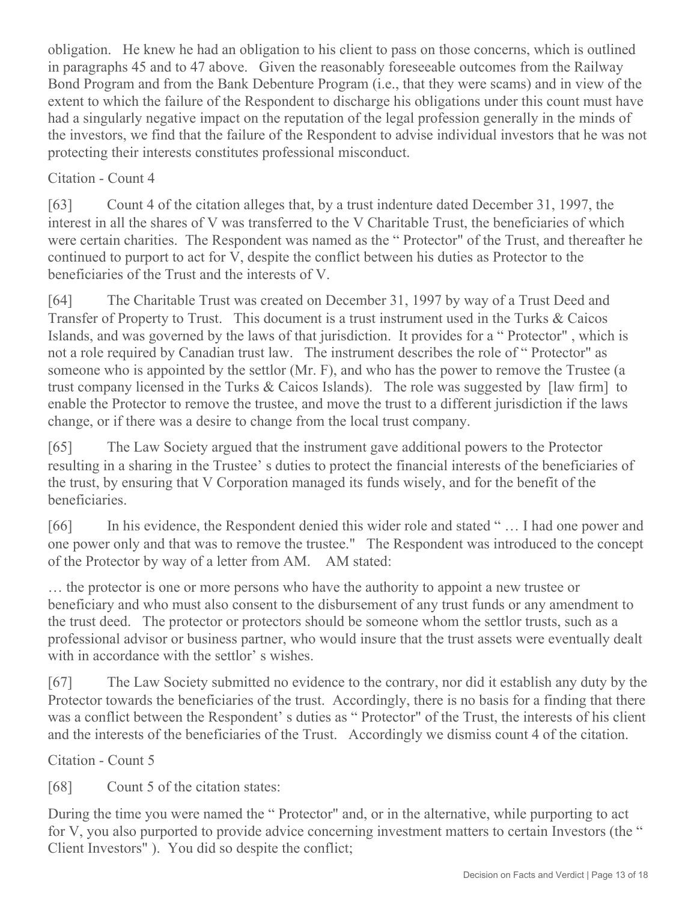obligation. He knew he had an obligation to his client to pass on those concerns, which is outlined in paragraphs 45 and to 47 above. Given the reasonably foreseeable outcomes from the Railway Bond Program and from the Bank Debenture Program (i.e., that they were scams) and in view of the extent to which the failure of the Respondent to discharge his obligations under this count must have had a singularly negative impact on the reputation of the legal profession generally in the minds of the investors, we find that the failure of the Respondent to advise individual investors that he was not protecting their interests constitutes professional misconduct.

## Citation - Count 4

[63] Count 4 of the citation alleges that, by a trust indenture dated December 31, 1997, the interest in all the shares of V was transferred to the V Charitable Trust, the beneficiaries of which were certain charities. The Respondent was named as the " Protector" of the Trust, and thereafter he continued to purport to act for V, despite the conflict between his duties as Protector to the beneficiaries of the Trust and the interests of V.

[64] The Charitable Trust was created on December 31, 1997 by way of a Trust Deed and Transfer of Property to Trust. This document is a trust instrument used in the Turks & Caicos Islands, and was governed by the laws of that jurisdiction. It provides for a " Protector" , which is not a role required by Canadian trust law. The instrument describes the role of " Protector" as someone who is appointed by the settlor (Mr. F), and who has the power to remove the Trustee (a trust company licensed in the Turks & Caicos Islands). The role was suggested by [law firm] to enable the Protector to remove the trustee, and move the trust to a different jurisdiction if the laws change, or if there was a desire to change from the local trust company.

[65] The Law Society argued that the instrument gave additional powers to the Protector resulting in a sharing in the Trustee' s duties to protect the financial interests of the beneficiaries of the trust, by ensuring that V Corporation managed its funds wisely, and for the benefit of the beneficiaries.

[66] In his evidence, the Respondent denied this wider role and stated "... I had one power and one power only and that was to remove the trustee." The Respondent was introduced to the concept of the Protector by way of a letter from AM. AM stated:

… the protector is one or more persons who have the authority to appoint a new trustee or beneficiary and who must also consent to the disbursement of any trust funds or any amendment to the trust deed. The protector or protectors should be someone whom the settlor trusts, such as a professional advisor or business partner, who would insure that the trust assets were eventually dealt with in accordance with the settlor' s wishes.

[67] The Law Society submitted no evidence to the contrary, nor did it establish any duty by the Protector towards the beneficiaries of the trust. Accordingly, there is no basis for a finding that there was a conflict between the Respondent's duties as "Protector" of the Trust, the interests of his client and the interests of the beneficiaries of the Trust. Accordingly we dismiss count 4 of the citation.

Citation - Count 5

[68] Count 5 of the citation states:

During the time you were named the " Protector" and, or in the alternative, while purporting to act for V, you also purported to provide advice concerning investment matters to certain Investors (the " Client Investors" ). You did so despite the conflict;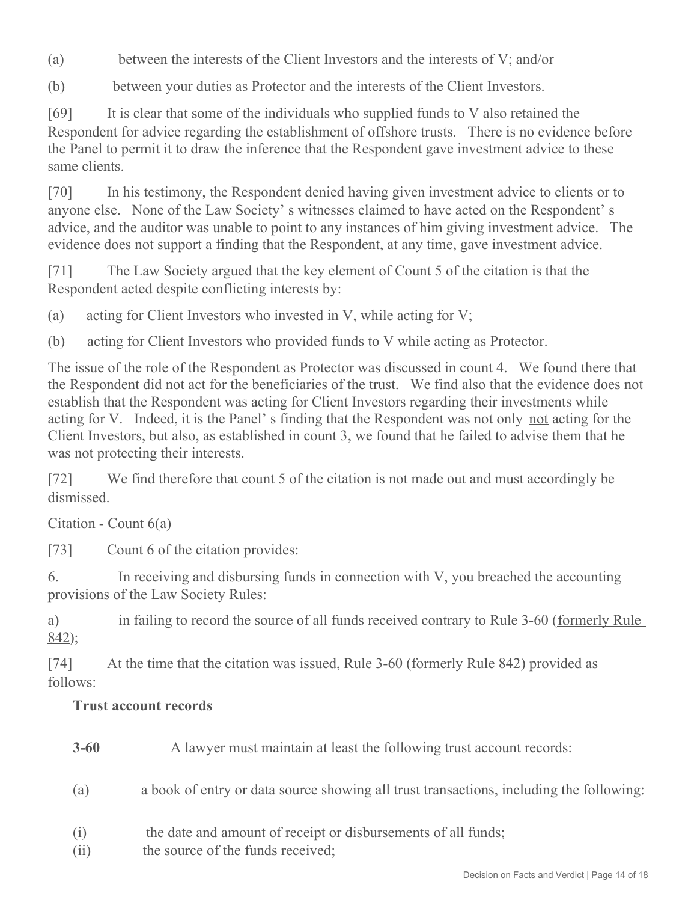- (a) between the interests of the Client Investors and the interests of V; and/or
- (b) between your duties as Protector and the interests of the Client Investors.

[69] It is clear that some of the individuals who supplied funds to V also retained the Respondent for advice regarding the establishment of offshore trusts. There is no evidence before the Panel to permit it to draw the inference that the Respondent gave investment advice to these same clients.

[70] In his testimony, the Respondent denied having given investment advice to clients or to anyone else. None of the Law Society' s witnesses claimed to have acted on the Respondent' s advice, and the auditor was unable to point to any instances of him giving investment advice. The evidence does not support a finding that the Respondent, at any time, gave investment advice.

[71] The Law Society argued that the key element of Count 5 of the citation is that the Respondent acted despite conflicting interests by:

(a) acting for Client Investors who invested in V, while acting for V;

(b) acting for Client Investors who provided funds to V while acting as Protector.

The issue of the role of the Respondent as Protector was discussed in count 4. We found there that the Respondent did not act for the beneficiaries of the trust. We find also that the evidence does not establish that the Respondent was acting for Client Investors regarding their investments while acting for V. Indeed, it is the Panel's finding that the Respondent was not only not acting for the Client Investors, but also, as established in count 3, we found that he failed to advise them that he was not protecting their interests.

[72] We find therefore that count 5 of the citation is not made out and must accordingly be dismissed.

Citation - Count 6(a)

[73] Count 6 of the citation provides:

6. In receiving and disbursing funds in connection with V, you breached the accounting provisions of the Law Society Rules:

a) in failing to record the source of all funds received contrary to Rule 3-60 (formerly Rule 842);

[74] At the time that the citation was issued, Rule 3-60 (formerly Rule 842) provided as follows:

# **Trust account records**

- **3-60** A lawyer must maintain at least the following trust account records:
- (a) a book of entry or data source showing all trust transactions, including the following:
- (i) the date and amount of receipt or disbursements of all funds;
- (ii) the source of the funds received;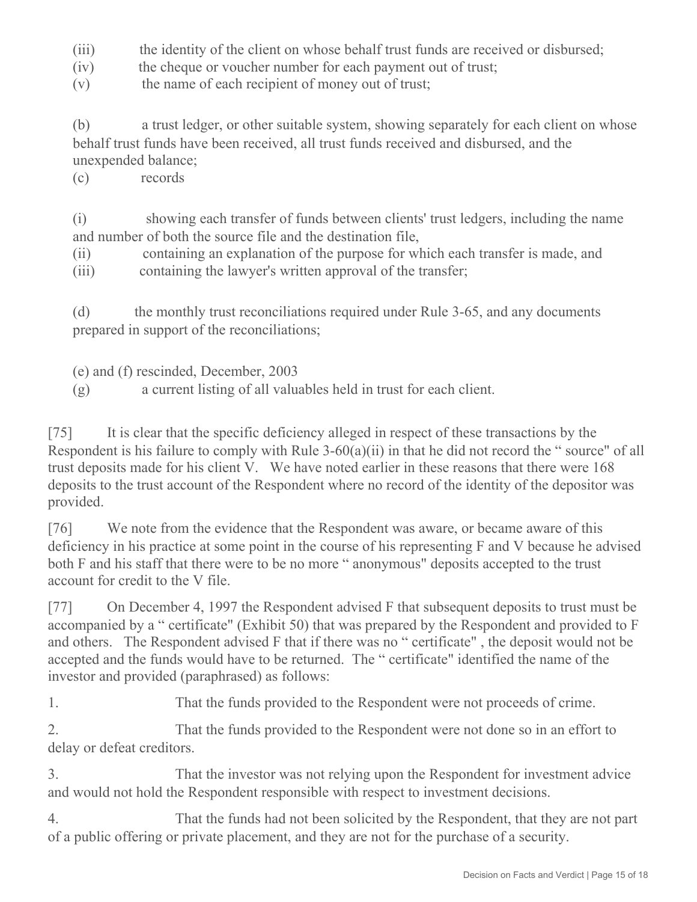- (iii) the identity of the client on whose behalf trust funds are received or disbursed;
- (iv) the cheque or voucher number for each payment out of trust;
- (v) the name of each recipient of money out of trust;

(b) a trust ledger, or other suitable system, showing separately for each client on whose behalf trust funds have been received, all trust funds received and disbursed, and the unexpended balance;

(c) records

(i) showing each transfer of funds between clients' trust ledgers, including the name and number of both the source file and the destination file,

(ii) containing an explanation of the purpose for which each transfer is made, and

(iii) containing the lawyer's written approval of the transfer;

(d) the monthly trust reconciliations required under Rule 3-65, and any documents prepared in support of the reconciliations;

(e) and (f) rescinded, December, 2003

(g) a current listing of all valuables held in trust for each client.

[75] It is clear that the specific deficiency alleged in respect of these transactions by the Respondent is his failure to comply with Rule 3-60(a)(ii) in that he did not record the " source" of all trust deposits made for his client V. We have noted earlier in these reasons that there were 168 deposits to the trust account of the Respondent where no record of the identity of the depositor was provided.

[76] We note from the evidence that the Respondent was aware, or became aware of this deficiency in his practice at some point in the course of his representing F and V because he advised both F and his staff that there were to be no more " anonymous" deposits accepted to the trust account for credit to the V file.

[77] On December 4, 1997 the Respondent advised F that subsequent deposits to trust must be accompanied by a " certificate" (Exhibit 50) that was prepared by the Respondent and provided to F and others. The Respondent advised F that if there was no " certificate" , the deposit would not be accepted and the funds would have to be returned. The " certificate" identified the name of the investor and provided (paraphrased) as follows:

1. That the funds provided to the Respondent were not proceeds of crime.

2. That the funds provided to the Respondent were not done so in an effort to delay or defeat creditors.

3. That the investor was not relying upon the Respondent for investment advice and would not hold the Respondent responsible with respect to investment decisions.

4. That the funds had not been solicited by the Respondent, that they are not part of a public offering or private placement, and they are not for the purchase of a security.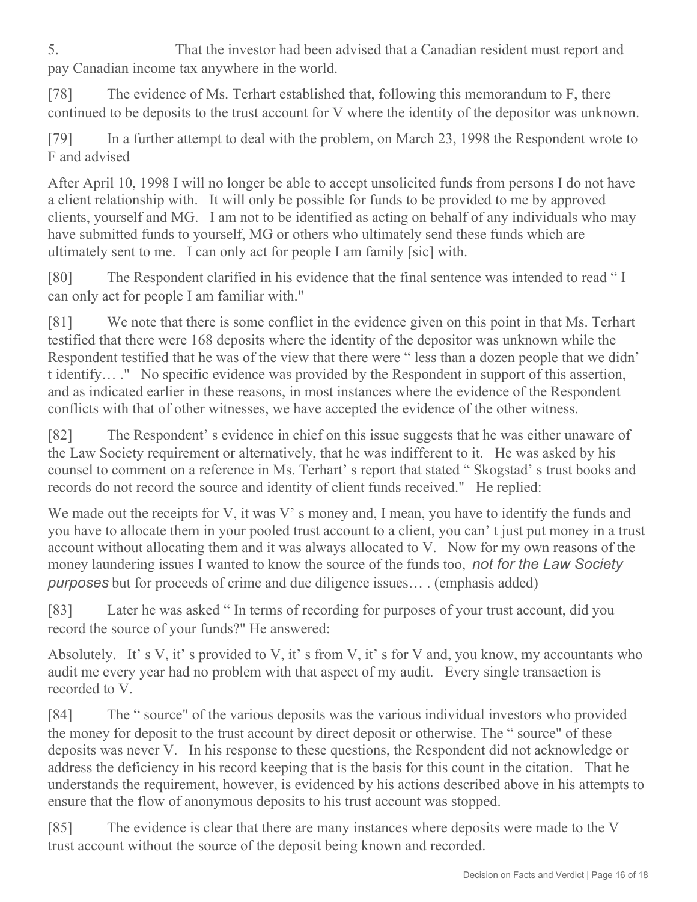5. That the investor had been advised that a Canadian resident must report and pay Canadian income tax anywhere in the world.

[78] The evidence of Ms. Terhart established that, following this memorandum to F, there continued to be deposits to the trust account for V where the identity of the depositor was unknown.

[79] In a further attempt to deal with the problem, on March 23, 1998 the Respondent wrote to F and advised

After April 10, 1998 I will no longer be able to accept unsolicited funds from persons I do not have a client relationship with. It will only be possible for funds to be provided to me by approved clients, yourself and MG. I am not to be identified as acting on behalf of any individuals who may have submitted funds to yourself, MG or others who ultimately send these funds which are ultimately sent to me. I can only act for people I am family [sic] with.

[80] The Respondent clarified in his evidence that the final sentence was intended to read " I can only act for people I am familiar with."

[81] We note that there is some conflict in the evidence given on this point in that Ms. Terhart testified that there were 168 deposits where the identity of the depositor was unknown while the Respondent testified that he was of the view that there were " less than a dozen people that we didn' t identify… ." No specific evidence was provided by the Respondent in support of this assertion, and as indicated earlier in these reasons, in most instances where the evidence of the Respondent conflicts with that of other witnesses, we have accepted the evidence of the other witness.

[82] The Respondent' s evidence in chief on this issue suggests that he was either unaware of the Law Society requirement or alternatively, that he was indifferent to it. He was asked by his counsel to comment on a reference in Ms. Terhart' s report that stated " Skogstad' s trust books and records do not record the source and identity of client funds received." He replied:

We made out the receipts for V, it was V' s money and, I mean, you have to identify the funds and you have to allocate them in your pooled trust account to a client, you can' t just put money in a trust account without allocating them and it was always allocated to V. Now for my own reasons of the money laundering issues I wanted to know the source of the funds too, *not for the Law Society purposes* but for proceeds of crime and due diligence issues… . (emphasis added)

[83] Later he was asked " In terms of recording for purposes of your trust account, did you record the source of your funds?" He answered:

Absolutely. It's V, it's provided to V, it's from V, it's for V and, you know, my accountants who audit me every year had no problem with that aspect of my audit. Every single transaction is recorded to V.

[84] The " source" of the various deposits was the various individual investors who provided the money for deposit to the trust account by direct deposit or otherwise. The " source" of these deposits was never V. In his response to these questions, the Respondent did not acknowledge or address the deficiency in his record keeping that is the basis for this count in the citation. That he understands the requirement, however, is evidenced by his actions described above in his attempts to ensure that the flow of anonymous deposits to his trust account was stopped.

[85] The evidence is clear that there are many instances where deposits were made to the V trust account without the source of the deposit being known and recorded.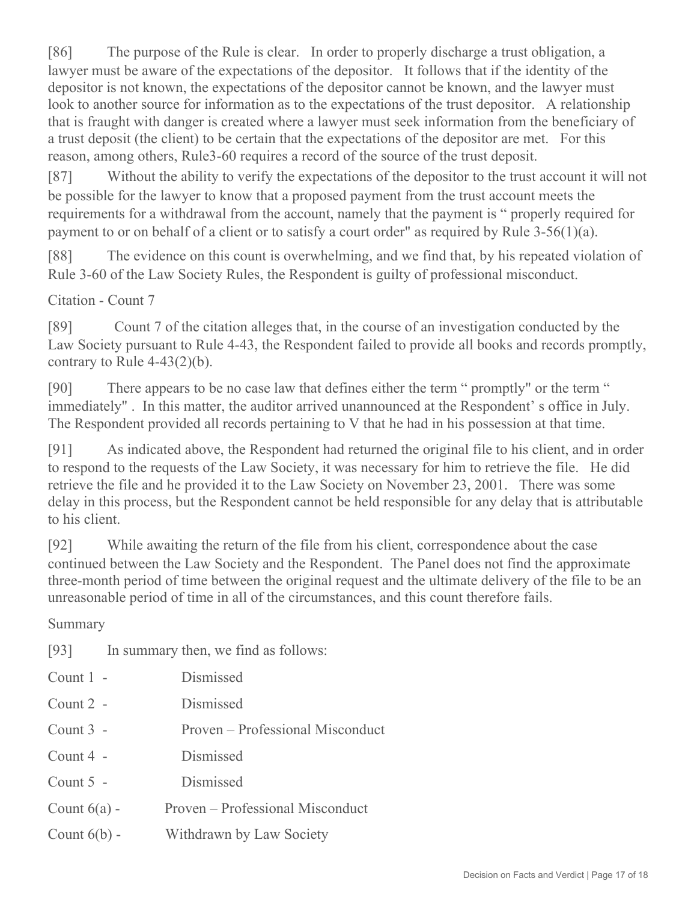[86] The purpose of the Rule is clear. In order to properly discharge a trust obligation, a lawyer must be aware of the expectations of the depositor. It follows that if the identity of the depositor is not known, the expectations of the depositor cannot be known, and the lawyer must look to another source for information as to the expectations of the trust depositor. A relationship that is fraught with danger is created where a lawyer must seek information from the beneficiary of a trust deposit (the client) to be certain that the expectations of the depositor are met. For this reason, among others, Rule3-60 requires a record of the source of the trust deposit.

[87] Without the ability to verify the expectations of the depositor to the trust account it will not be possible for the lawyer to know that a proposed payment from the trust account meets the requirements for a withdrawal from the account, namely that the payment is " properly required for payment to or on behalf of a client or to satisfy a court order" as required by Rule 3-56(1)(a).

[88] The evidence on this count is overwhelming, and we find that, by his repeated violation of Rule 3-60 of the Law Society Rules, the Respondent is guilty of professional misconduct.

Citation - Count 7

[89] Count 7 of the citation alleges that, in the course of an investigation conducted by the Law Society pursuant to Rule 4-43, the Respondent failed to provide all books and records promptly, contrary to Rule  $4-43(2)(b)$ .

[90] There appears to be no case law that defines either the term " promptly" or the term " immediately" . In this matter, the auditor arrived unannounced at the Respondent' s office in July. The Respondent provided all records pertaining to V that he had in his possession at that time.

[91] As indicated above, the Respondent had returned the original file to his client, and in order to respond to the requests of the Law Society, it was necessary for him to retrieve the file. He did retrieve the file and he provided it to the Law Society on November 23, 2001. There was some delay in this process, but the Respondent cannot be held responsible for any delay that is attributable to his client.

[92] While awaiting the return of the file from his client, correspondence about the case continued between the Law Society and the Respondent. The Panel does not find the approximate three-month period of time between the original request and the ultimate delivery of the file to be an unreasonable period of time in all of the circumstances, and this count therefore fails.

Summary

[93] In summary then, we find as follows:

| Count 1 -      | Dismissed                        |
|----------------|----------------------------------|
| Count $2$ -    | Dismissed                        |
| Count $3 -$    | Proven – Professional Misconduct |
| Count $4 -$    | Dismissed                        |
| Count $5 -$    | Dismissed                        |
| Count $6(a)$ - | Proven – Professional Misconduct |
| Count $6(b)$ - | Withdrawn by Law Society         |